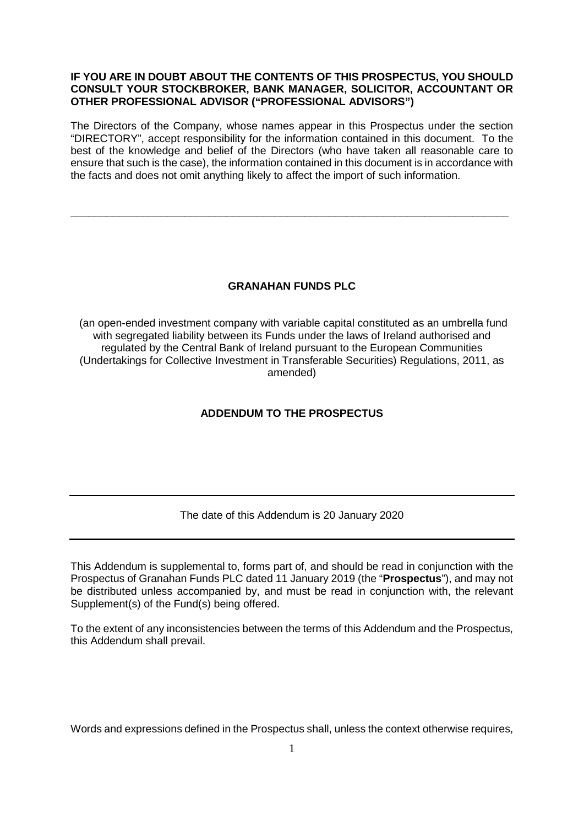## **IF YOU ARE IN DOUBT ABOUT THE CONTENTS OF THIS PROSPECTUS, YOU SHOULD CONSULT YOUR STOCKBROKER, BANK MANAGER, SOLICITOR, ACCOUNTANT OR OTHER PROFESSIONAL ADVISOR ("PROFESSIONAL ADVISORS")**

The Directors of the Company, whose names appear in this Prospectus under the section "DIRECTORY", accept responsibility for the information contained in this document. To the best of the knowledge and belief of the Directors (who have taken all reasonable care to ensure that such is the case), the information contained in this document is in accordance with the facts and does not omit anything likely to affect the import of such information.

**\_\_\_\_\_\_\_\_\_\_\_\_\_\_\_\_\_\_\_\_\_\_\_\_\_\_\_\_\_\_\_\_\_\_\_\_\_\_\_\_\_\_\_\_\_\_\_\_\_\_\_\_\_\_\_\_\_\_\_\_\_\_\_\_\_\_\_\_\_\_\_\_\_** 

## **GRANAHAN FUNDS PLC**

 (an open-ended investment company with variable capital constituted as an umbrella fund with segregated liability between its Funds under the laws of Ireland authorised and regulated by the Central Bank of Ireland pursuant to the European Communities (Undertakings for Collective Investment in Transferable Securities) Regulations, 2011, as amended)

# **ADDENDUM TO THE PROSPECTUS**

#### The date of this Addendum is 20 January 2020

This Addendum is supplemental to, forms part of, and should be read in conjunction with the Prospectus of Granahan Funds PLC dated 11 January 2019 (the "**Prospectus**"), and may not be distributed unless accompanied by, and must be read in conjunction with, the relevant Supplement(s) of the Fund(s) being offered.

To the extent of any inconsistencies between the terms of this Addendum and the Prospectus, this Addendum shall prevail.

Words and expressions defined in the Prospectus shall, unless the context otherwise requires,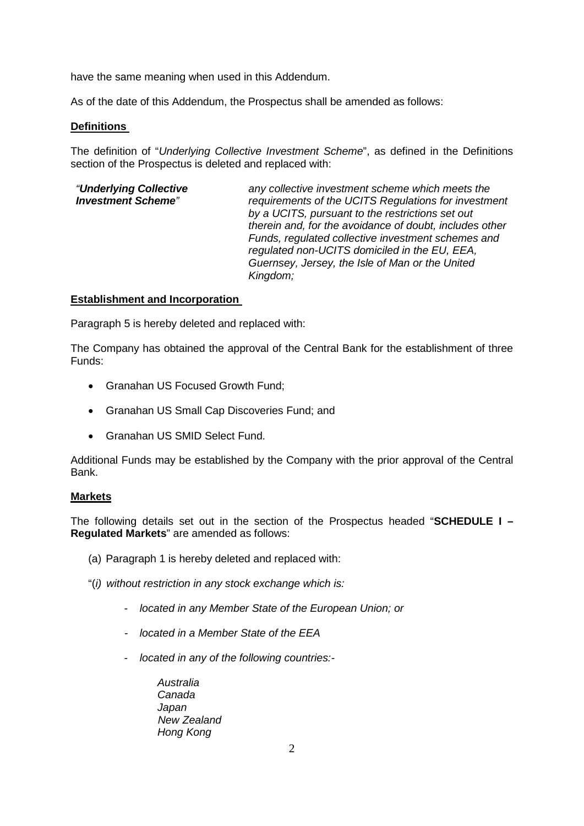have the same meaning when used in this Addendum.

As of the date of this Addendum, the Prospectus shall be amended as follows:

## **Definitions**

The definition of "*Underlying Collective Investment Scheme*", as defined in the Definitions section of the Prospectus is deleted and replaced with:

| "Underlying Collective    | any collective investment scheme which meets the        |
|---------------------------|---------------------------------------------------------|
| <b>Investment Scheme"</b> | requirements of the UCITS Regulations for investment    |
|                           | by a UCITS, pursuant to the restrictions set out        |
|                           | therein and, for the avoidance of doubt, includes other |
|                           | Funds, regulated collective investment schemes and      |
|                           | regulated non-UCITS domiciled in the EU, EEA,           |
|                           | Guernsey, Jersey, the Isle of Man or the United         |
|                           | Kingdom;                                                |
|                           |                                                         |

### **Establishment and Incorporation**

Paragraph 5 is hereby deleted and replaced with:

The Company has obtained the approval of the Central Bank for the establishment of three Funds:

- Granahan US Focused Growth Fund;
- Granahan US Small Cap Discoveries Fund; and
- Granahan US SMID Select Fund.

Additional Funds may be established by the Company with the prior approval of the Central Bank.

#### **Markets**

The following details set out in the section of the Prospectus headed "**SCHEDULE I – Regulated Markets**" are amended as follows:

- (a) Paragraph 1 is hereby deleted and replaced with:
- "(*i) without restriction in any stock exchange which is:* 
	- *located in any Member State of the European Union; or*
	- *located in a Member State of the EEA*
	- *located in any of the following countries:-* 
		- *Australia Canada Japan New Zealand Hong Kong*